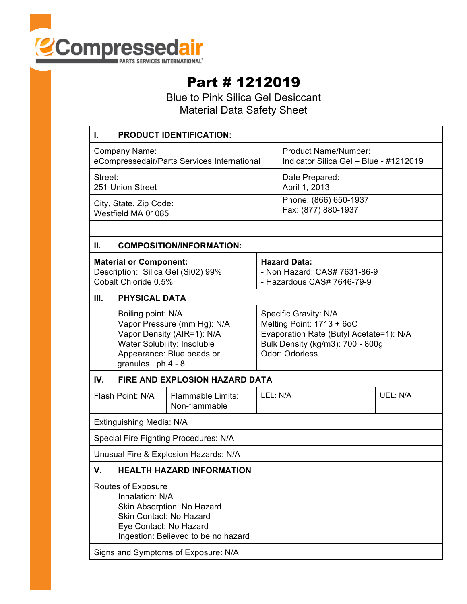

## Part # 1212019

Blue to Pink Silica Gel Desiccant Material Data Safety Sheet

| <b>PRODUCT IDENTIFICATION:</b><br>L.                                                                                                                                                                   |  |                                                                                                                                                     |                                                                |          |
|--------------------------------------------------------------------------------------------------------------------------------------------------------------------------------------------------------|--|-----------------------------------------------------------------------------------------------------------------------------------------------------|----------------------------------------------------------------|----------|
| Company Name:<br>eCompressedair/Parts Services International                                                                                                                                           |  |                                                                                                                                                     | Product Name/Number:<br>Indicator Silica Gel - Blue - #1212019 |          |
| Street:<br>251 Union Street                                                                                                                                                                            |  |                                                                                                                                                     | Date Prepared:<br>April 1, 2013                                |          |
| City, State, Zip Code:<br>Westfield MA 01085                                                                                                                                                           |  |                                                                                                                                                     | Phone: (866) 650-1937<br>Fax: (877) 880-1937                   |          |
|                                                                                                                                                                                                        |  |                                                                                                                                                     |                                                                |          |
| Ш.<br><b>COMPOSITION/INFORMATION:</b>                                                                                                                                                                  |  |                                                                                                                                                     |                                                                |          |
| <b>Material or Component:</b><br>Description: Silica Gel (Si02) 99%<br>Cobalt Chloride 0.5%                                                                                                            |  | <b>Hazard Data:</b><br>- Non Hazard: CAS# 7631-86-9<br>- Hazardous CAS# 7646-79-9                                                                   |                                                                |          |
| <b>PHYSICAL DATA</b><br>Ш.                                                                                                                                                                             |  |                                                                                                                                                     |                                                                |          |
| Boiling point: N/A<br>Vapor Pressure (mm Hg): N/A<br>Vapor Density (AIR=1): N/A<br>Water Solubility: Insoluble<br>Appearance: Blue beads or<br>granules. ph 4 - 8                                      |  | Specific Gravity: N/A<br>Melting Point: 1713 + 6oC<br>Evaporation Rate (Butyl Acetate=1): N/A<br>Bulk Density (kg/m3): 700 - 800g<br>Odor: Odorless |                                                                |          |
| IV.<br><b>FIRE AND EXPLOSION HAZARD DATA</b>                                                                                                                                                           |  |                                                                                                                                                     |                                                                |          |
| <b>Flammable Limits:</b><br>Flash Point: N/A<br>Non-flammable                                                                                                                                          |  | LEL: N/A                                                                                                                                            |                                                                | UEL: N/A |
| Extinguishing Media: N/A                                                                                                                                                                               |  |                                                                                                                                                     |                                                                |          |
| Special Fire Fighting Procedures: N/A                                                                                                                                                                  |  |                                                                                                                                                     |                                                                |          |
| Unusual Fire & Explosion Hazards: N/A                                                                                                                                                                  |  |                                                                                                                                                     |                                                                |          |
| V.<br><b>HEALTH HAZARD INFORMATION</b>                                                                                                                                                                 |  |                                                                                                                                                     |                                                                |          |
| Routes of Exposure<br>Inhalation: N/A<br>Skin Absorption: No Hazard<br>Skin Contact: No Hazard<br>Eye Contact: No Hazard<br>Ingestion: Believed to be no hazard<br>Signs and Symptoms of Exposure: N/A |  |                                                                                                                                                     |                                                                |          |